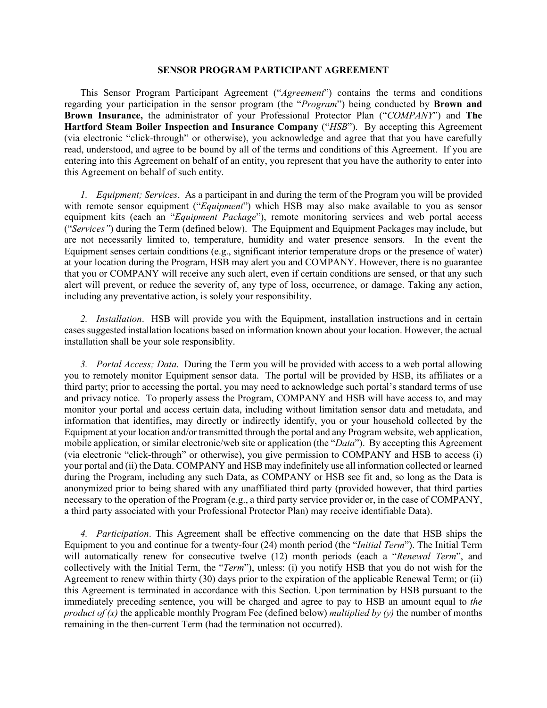## **SENSOR PROGRAM PARTICIPANT AGREEMENT**

This Sensor Program Participant Agreement ("*Agreement*") contains the terms and conditions regarding your participation in the sensor program (the "*Program*") being conducted by **Brown and Brown Insurance,** the administrator of your Professional Protector Plan ("*COMPANY*") and **The Hartford Steam Boiler Inspection and Insurance Company** ("*HSB*"). By accepting this Agreement (via electronic "click-through" or otherwise), you acknowledge and agree that that you have carefully read, understood, and agree to be bound by all of the terms and conditions of this Agreement. If you are entering into this Agreement on behalf of an entity, you represent that you have the authority to enter into this Agreement on behalf of such entity.

*1. Equipment; Services*. As a participant in and during the term of the Program you will be provided with remote sensor equipment ("*Equipment*") which HSB may also make available to you as sensor equipment kits (each an "*Equipment Package*"), remote monitoring services and web portal access ("*Services"*) during the Term (defined below). The Equipment and Equipment Packages may include, but are not necessarily limited to, temperature, humidity and water presence sensors. In the event the Equipment senses certain conditions (e.g., significant interior temperature drops or the presence of water) at your location during the Program, HSB may alert you and COMPANY. However, there is no guarantee that you or COMPANY will receive any such alert, even if certain conditions are sensed, or that any such alert will prevent, or reduce the severity of, any type of loss, occurrence, or damage. Taking any action, including any preventative action, is solely your responsibility.

*2. Installation*. HSB will provide you with the Equipment, installation instructions and in certain cases suggested installation locations based on information known about your location. However, the actual installation shall be your sole responsiblity.

*3. Portal Access; Data*. During the Term you will be provided with access to a web portal allowing you to remotely monitor Equipment sensor data. The portal will be provided by HSB, its affiliates or a third party; prior to accessing the portal, you may need to acknowledge such portal's standard terms of use and privacy notice. To properly assess the Program, COMPANY and HSB will have access to, and may monitor your portal and access certain data, including without limitation sensor data and metadata, and information that identifies, may directly or indirectly identify, you or your household collected by the Equipment at your location and/or transmitted through the portal and any Program website, web application, mobile application, or similar electronic/web site or application (the "*Data*"). By accepting this Agreement (via electronic "click-through" or otherwise), you give permission to COMPANY and HSB to access (i) your portal and (ii) the Data. COMPANY and HSB may indefinitely use all information collected or learned during the Program, including any such Data, as COMPANY or HSB see fit and, so long as the Data is anonymized prior to being shared with any unaffiliated third party (provided however, that third parties necessary to the operation of the Program (e.g., a third party service provider or, in the case of COMPANY, a third party associated with your Professional Protector Plan) may receive identifiable Data).

*4. Participation*. This Agreement shall be effective commencing on the date that HSB ships the Equipment to you and continue for a twenty-four (24) month period (the "*Initial Term*"). The Initial Term will automatically renew for consecutive twelve (12) month periods (each a "*Renewal Term*", and collectively with the Initial Term, the "*Term*"), unless: (i) you notify HSB that you do not wish for the Agreement to renew within thirty (30) days prior to the expiration of the applicable Renewal Term; or (ii) this Agreement is terminated in accordance with this Section. Upon termination by HSB pursuant to the immediately preceding sentence, you will be charged and agree to pay to HSB an amount equal to *the product of (x)* the applicable monthly Program Fee (defined below) *multiplied by (y)* the number of months remaining in the then-current Term (had the termination not occurred).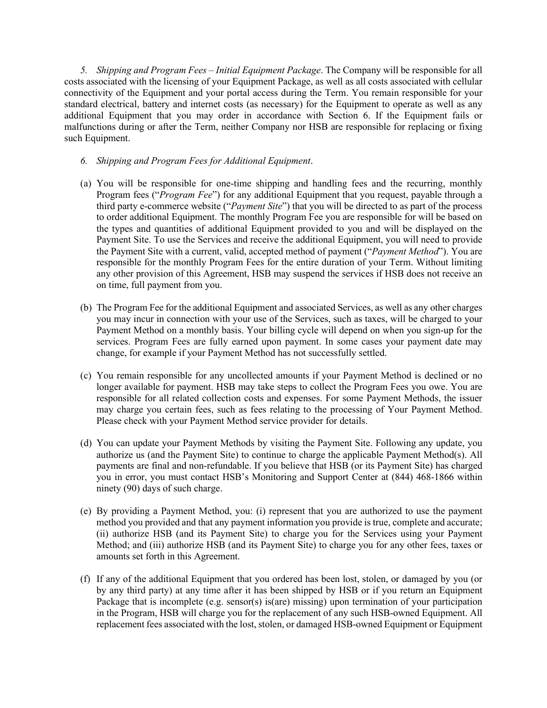*5. Shipping and Program Fees – Initial Equipment Package*. The Company will be responsible for all costs associated with the licensing of your Equipment Package, as well as all costs associated with cellular connectivity of the Equipment and your portal access during the Term. You remain responsible for your standard electrical, battery and internet costs (as necessary) for the Equipment to operate as well as any additional Equipment that you may order in accordance with Section 6. If the Equipment fails or malfunctions during or after the Term, neither Company nor HSB are responsible for replacing or fixing such Equipment.

- *6. Shipping and Program Fees for Additional Equipment*.
- (a) You will be responsible for one-time shipping and handling fees and the recurring, monthly Program fees ("*Program Fee*") for any additional Equipment that you request, payable through a third party e-commerce website ("*Payment Site*") that you will be directed to as part of the process to order additional Equipment. The monthly Program Fee you are responsible for will be based on the types and quantities of additional Equipment provided to you and will be displayed on the Payment Site. To use the Services and receive the additional Equipment, you will need to provide the Payment Site with a current, valid, accepted method of payment ("*Payment Method*"). You are responsible for the monthly Program Fees for the entire duration of your Term. Without limiting any other provision of this Agreement, HSB may suspend the services if HSB does not receive an on time, full payment from you.
- (b) The Program Fee for the additional Equipment and associated Services, as well as any other charges you may incur in connection with your use of the Services, such as taxes, will be charged to your Payment Method on a monthly basis. Your billing cycle will depend on when you sign-up for the services. Program Fees are fully earned upon payment. In some cases your payment date may change, for example if your Payment Method has not successfully settled.
- (c) You remain responsible for any uncollected amounts if your Payment Method is declined or no longer available for payment. HSB may take steps to collect the Program Fees you owe. You are responsible for all related collection costs and expenses. For some Payment Methods, the issuer may charge you certain fees, such as fees relating to the processing of Your Payment Method. Please check with your Payment Method service provider for details.
- (d) You can update your Payment Methods by visiting the Payment Site. Following any update, you authorize us (and the Payment Site) to continue to charge the applicable Payment Method(s). All payments are final and non-refundable. If you believe that HSB (or its Payment Site) has charged you in error, you must contact HSB's Monitoring and Support Center at (844) 468-1866 within ninety (90) days of such charge.
- (e) By providing a Payment Method, you: (i) represent that you are authorized to use the payment method you provided and that any payment information you provide is true, complete and accurate; (ii) authorize HSB (and its Payment Site) to charge you for the Services using your Payment Method; and (iii) authorize HSB (and its Payment Site) to charge you for any other fees, taxes or amounts set forth in this Agreement.
- (f) If any of the additional Equipment that you ordered has been lost, stolen, or damaged by you (or by any third party) at any time after it has been shipped by HSB or if you return an Equipment Package that is incomplete (e.g. sensor(s) is(are) missing) upon termination of your participation in the Program, HSB will charge you for the replacement of any such HSB-owned Equipment. All replacement fees associated with the lost, stolen, or damaged HSB-owned Equipment or Equipment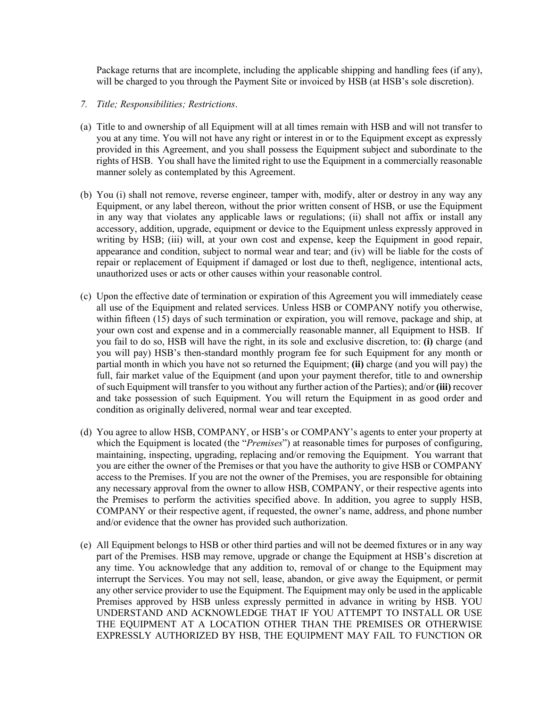Package returns that are incomplete, including the applicable shipping and handling fees (if any), will be charged to you through the Payment Site or invoiced by HSB (at HSB's sole discretion).

- *7. Title; Responsibilities; Restrictions*.
- (a) Title to and ownership of all Equipment will at all times remain with HSB and will not transfer to you at any time. You will not have any right or interest in or to the Equipment except as expressly provided in this Agreement, and you shall possess the Equipment subject and subordinate to the rights of HSB. You shall have the limited right to use the Equipment in a commercially reasonable manner solely as contemplated by this Agreement.
- (b) You (i) shall not remove, reverse engineer, tamper with, modify, alter or destroy in any way any Equipment, or any label thereon, without the prior written consent of HSB, or use the Equipment in any way that violates any applicable laws or regulations; (ii) shall not affix or install any accessory, addition, upgrade, equipment or device to the Equipment unless expressly approved in writing by HSB; (iii) will, at your own cost and expense, keep the Equipment in good repair, appearance and condition, subject to normal wear and tear; and (iv) will be liable for the costs of repair or replacement of Equipment if damaged or lost due to theft, negligence, intentional acts, unauthorized uses or acts or other causes within your reasonable control.
- (c) Upon the effective date of termination or expiration of this Agreement you will immediately cease all use of the Equipment and related services. Unless HSB or COMPANY notify you otherwise, within fifteen (15) days of such termination or expiration, you will remove, package and ship, at your own cost and expense and in a commercially reasonable manner, all Equipment to HSB. If you fail to do so, HSB will have the right, in its sole and exclusive discretion, to: **(i)** charge (and you will pay) HSB's then-standard monthly program fee for such Equipment for any month or partial month in which you have not so returned the Equipment; **(ii)** charge (and you will pay) the full, fair market value of the Equipment (and upon your payment therefor, title to and ownership of such Equipment will transfer to you without any further action of the Parties); and/or **(iii)** recover and take possession of such Equipment. You will return the Equipment in as good order and condition as originally delivered, normal wear and tear excepted.
- (d) You agree to allow HSB, COMPANY, or HSB's or COMPANY's agents to enter your property at which the Equipment is located (the "*Premises*") at reasonable times for purposes of configuring, maintaining, inspecting, upgrading, replacing and/or removing the Equipment. You warrant that you are either the owner of the Premises or that you have the authority to give HSB or COMPANY access to the Premises. If you are not the owner of the Premises, you are responsible for obtaining any necessary approval from the owner to allow HSB, COMPANY, or their respective agents into the Premises to perform the activities specified above. In addition, you agree to supply HSB, COMPANY or their respective agent, if requested, the owner's name, address, and phone number and/or evidence that the owner has provided such authorization.
- (e) All Equipment belongs to HSB or other third parties and will not be deemed fixtures or in any way part of the Premises. HSB may remove, upgrade or change the Equipment at HSB's discretion at any time. You acknowledge that any addition to, removal of or change to the Equipment may interrupt the Services. You may not sell, lease, abandon, or give away the Equipment, or permit any other service provider to use the Equipment. The Equipment may only be used in the applicable Premises approved by HSB unless expressly permitted in advance in writing by HSB. YOU UNDERSTAND AND ACKNOWLEDGE THAT IF YOU ATTEMPT TO INSTALL OR USE THE EQUIPMENT AT A LOCATION OTHER THAN THE PREMISES OR OTHERWISE EXPRESSLY AUTHORIZED BY HSB, THE EQUIPMENT MAY FAIL TO FUNCTION OR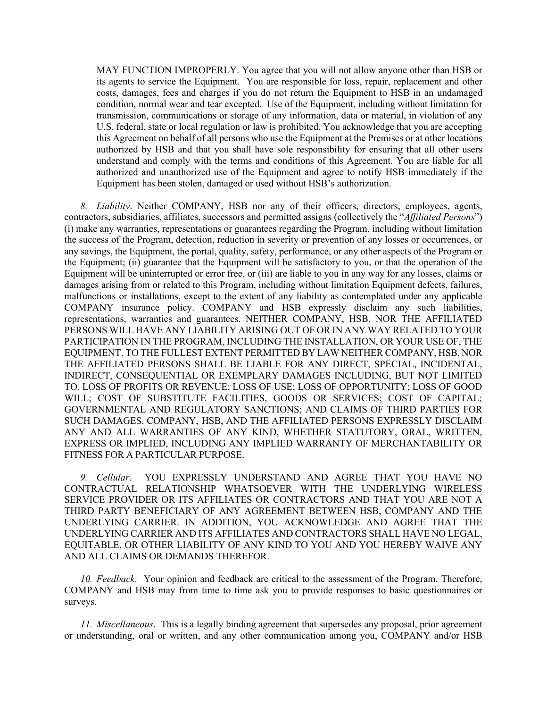MAY FUNCTION IMPROPERLY. You agree that you will not allow anyone other than HSB or its agents to service the Equipment. You are responsible for loss, repair, replacement and other costs, damages, fees and charges if you do not return the Equipment to HSB in an undamaged condition, normal wear and tear excepted. Use of the Equipment, including without limitation for transmission, communications or storage of any information, data or material, in violation of any U.S. federal, state or local regulation or law is prohibited. You acknowledge that you are accepting this Agreement on behalf of all persons who use the Equipment at the Premises or at other locations authorized by HSB and that you shall have sole responsibility for ensuring that all other users understand and comply with the terms and conditions of this Agreement. You are liable for all authorized and unauthorized use of the Equipment and agree to notify HSB immediately if the Equipment has been stolen, damaged or used without HSB's authorization.

*8. Liability*. Neither COMPANY, HSB nor any of their officers, directors, employees, agents, contractors, subsidiaries, affiliates, successors and permitted assigns (collectively the "*Affiliated Persons*") (i) make any warranties, representations or guarantees regarding the Program, including without limitation the success of the Program, detection, reduction in severity or prevention of any losses or occurrences, or any savings, the Equipment, the portal, quality, safety, performance, or any other aspects of the Program or the Equipment; (ii) guarantee that the Equipment will be satisfactory to you, or that the operation of the Equipment will be uninterrupted or error free, or (iii) are liable to you in any way for any losses, claims or damages arising from or related to this Program, including without limitation Equipment defects, failures, malfunctions or installations, except to the extent of any liability as contemplated under any applicable COMPANY insurance policy. COMPANY and HSB expressly disclaim any such liabilities, representations, warranties and guarantees. NEITHER COMPANY, HSB, NOR THE AFFILIATED PERSONS WILL HAVE ANY LIABILITY ARISING OUT OF OR IN ANY WAY RELATED TO YOUR PARTICIPATION IN THE PROGRAM, INCLUDING THE INSTALLATION, OR YOUR USE OF, THE EQUIPMENT. TO THE FULLEST EXTENT PERMITTED BY LAW NEITHER COMPANY, HSB, NOR THE AFFILIATED PERSONS SHALL BE LIABLE FOR ANY DIRECT, SPECIAL, INCIDENTAL, INDIRECT, CONSEQUENTIAL OR EXEMPLARY DAMAGES INCLUDING, BUT NOT LIMITED TO, LOSS OF PROFITS OR REVENUE; LOSS OF USE; LOSS OF OPPORTUNITY; LOSS OF GOOD WILL; COST OF SUBSTITUTE FACILITIES, GOODS OR SERVICES; COST OF CAPITAL; GOVERNMENTAL AND REGULATORY SANCTIONS; AND CLAIMS OF THIRD PARTIES FOR SUCH DAMAGES. COMPANY, HSB, AND THE AFFILIATED PERSONS EXPRESSLY DISCLAIM ANY AND ALL WARRANTIES OF ANY KIND, WHETHER STATUTORY, ORAL, WRITTEN, EXPRESS OR IMPLIED, INCLUDING ANY IMPLIED WARRANTY OF MERCHANTABILITY OR FITNESS FOR A PARTICULAR PURPOSE.

*9. Cellular*. YOU EXPRESSLY UNDERSTAND AND AGREE THAT YOU HAVE NO CONTRACTUAL RELATIONSHIP WHATSOEVER WITH THE UNDERLYING WIRELESS SERVICE PROVIDER OR ITS AFFILIATES OR CONTRACTORS AND THAT YOU ARE NOT A THIRD PARTY BENEFICIARY OF ANY AGREEMENT BETWEEN HSB, COMPANY AND THE UNDERLYING CARRIER. IN ADDITION, YOU ACKNOWLEDGE AND AGREE THAT THE UNDERLYING CARRIER AND ITS AFFILIATES AND CONTRACTORS SHALL HAVE NO LEGAL, EQUITABLE, OR OTHER LIABILITY OF ANY KIND TO YOU AND YOU HEREBY WAIVE ANY AND ALL CLAIMS OR DEMANDS THEREFOR.

*10. Feedback*. Your opinion and feedback are critical to the assessment of the Program. Therefore, COMPANY and HSB may from time to time ask you to provide responses to basic questionnaires or surveys.

*11. Miscellaneous*. This is a legally binding agreement that supersedes any proposal, prior agreement or understanding, oral or written, and any other communication among you, COMPANY and/or HSB